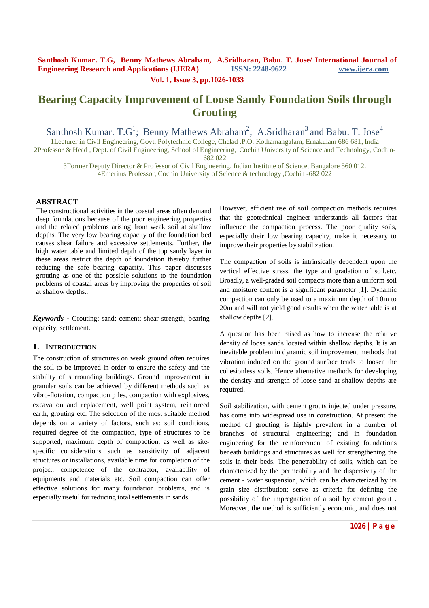### **Vol. 1, Issue 3, pp.1026-1033**

# **Bearing Capacity Improvement of Loose Sandy Foundation Soils through Grouting**

Santhosh Kumar. T.G<sup>1</sup>; Benny Mathews Abraham<sup>2</sup>; A.Sridharan<sup>3</sup> and Babu. T. Jose<sup>4</sup>

1Lecturer in Civil Engineering, Govt. Polytechnic College, Chelad .P.O. Kothamangalam, Ernakulam 686 681, India 2Professor & Head , Dept. of Civil Engineering, School of Engineering, Cochin University of Science and Technology, Cochin-

682 022

3Former Deputy Director & Professor of Civil Engineering, Indian Institute of Science, Bangalore 560 012. 4Emeritus Professor, Cochin University of Science & technology ,Cochin -682 022

## **ABSTRACT**

The constructional activities in the coastal areas often demand deep foundations because of the poor engineering properties and the related problems arising from weak soil at shallow depths. The very low bearing capacity of the foundation bed causes shear failure and excessive settlements. Further, the high water table and limited depth of the top sandy layer in these areas restrict the depth of foundation thereby further reducing the safe bearing capacity. This paper discusses grouting as one of the possible solutions to the foundation problems of coastal areas by improving the properties of soil at shallow depths..

*Keywords* **-** Grouting; sand; cement; shear strength; bearing capacity; settlement.

### **1. INTRODUCTION**

The construction of structures on weak ground often requires the soil to be improved in order to ensure the safety and the stability of surrounding buildings. Ground improvement in granular soils can be achieved by different methods such as vibro-flotation, compaction piles, compaction with explosives, excavation and replacement, well point system, reinforced earth, grouting etc. The selection of the most suitable method depends on a variety of factors, such as: soil conditions, required degree of the compaction, type of structures to be supported, maximum depth of compaction, as well as sitespecific considerations such as sensitivity of adjacent structures or installations, available time for completion of the project, competence of the contractor, availability of equipments and materials etc. Soil compaction can offer effective solutions for many foundation problems, and is especially useful for reducing total settlements in sands.

However, efficient use of soil compaction methods requires that the geotechnical engineer understands all factors that influence the compaction process. The poor quality soils, especially their low bearing capacity, make it necessary to improve their properties by stabilization.

The compaction of soils is intrinsically dependent upon the vertical effective stress, the type and gradation of soil,etc. Broadly, a well-graded soil compacts more than a uniform soil and moisture content is a significant parameter [1]. Dynamic compaction can only be used to a maximum depth of 10m to 20m and will not yield good results when the water table is at shallow depths [2].

A question has been raised as how to increase the relative density of loose sands located within shallow depths. It is an inevitable problem in dynamic soil improvement methods that vibration induced on the ground surface tends to loosen the cohesionless soils. Hence alternative methods for developing the density and strength of loose sand at shallow depths are required.

Soil stabilization, with cement grouts injected under pressure, has come into widespread use in construction. At present the method of grouting is highly prevalent in a number of branches of structural engineering; and in foundation engineering for the reinforcement of existing foundations beneath buildings and structures as well for strengthening the soils in their beds. The penetrability of soils, which can be characterized by the permeability and the dispersivity of the cement - water suspension, which can be characterized by its grain size distribution; serve as criteria for defining the possibility of the impregnation of a soil by cement grout . Moreover, the method is sufficiently economic, and does not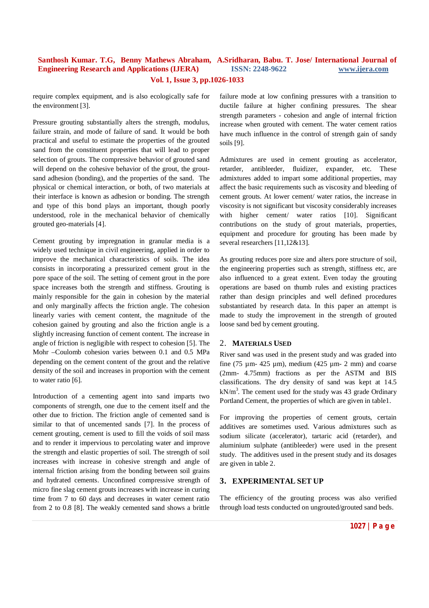require complex equipment, and is also ecologically safe for the environment [3].

Pressure grouting substantially alters the strength, modulus, failure strain, and mode of failure of sand. It would be both practical and useful to estimate the properties of the grouted sand from the constituent properties that will lead to proper selection of grouts. The compressive behavior of grouted sand will depend on the cohesive behavior of the grout, the groutsand adhesion (bonding), and the properties of the sand. The physical or chemical interaction, or both, of two materials at their interface is known as adhesion or bonding. The strength and type of this bond plays an important, though poorly understood, role in the mechanical behavior of chemically grouted geo-materials [4].

Cement grouting by impregnation in granular media is a widely used technique in civil engineering, applied in order to improve the mechanical characteristics of soils. The idea consists in incorporating a pressurized cement grout in the pore space of the soil. The setting of cement grout in the pore space increases both the strength and stiffness. Grouting is mainly responsible for the gain in cohesion by the material and only marginally affects the friction angle. The cohesion linearly varies with cement content, the magnitude of the cohesion gained by grouting and also the friction angle is a slightly increasing function of cement content. The increase in angle of friction is negligible with respect to cohesion [5]. The Mohr –Coulomb cohesion varies between 0.1 and 0.5 MPa depending on the cement content of the grout and the relative density of the soil and increases in proportion with the cement to water ratio [6].

Introduction of a cementing agent into sand imparts two components of strength, one due to the cement itself and the other due to friction. The friction angle of cemented sand is similar to that of uncemented sands [7]. In the process of cement grouting, cement is used to fill the voids of soil mass and to render it impervious to percolating water and improve the strength and elastic properties of soil. The strength of soil increases with increase in cohesive strength and angle of internal friction arising from the bonding between soil grains and hydrated cements. Unconfined compressive strength of micro fine slag cement grouts increases with increase in curing time from 7 to 60 days and decreases in water cement ratio from 2 to 0.8 [8]. The weakly cemented sand shows a brittle

failure mode at low confining pressures with a transition to ductile failure at higher confining pressures. The shear strength parameters - cohesion and angle of internal friction increase when grouted with cement. The water cement ratios have much influence in the control of strength gain of sandy soils [9].

Admixtures are used in cement grouting as accelerator, retarder, antibleeder, fluidizer, expander, etc. These admixtures added to impart some additional properties, may affect the basic requirements such as viscosity and bleeding of cement grouts. At lower cement/ water ratios, the increase in viscosity is not significant but viscosity considerably increases with higher cement/ water ratios [10]. Significant contributions on the study of grout materials, properties, equipment and procedure for grouting has been made by several researchers [11,12&13].

As grouting reduces pore size and alters pore structure of soil, the engineering properties such as strength, stiffness etc, are also influenced to a great extent. Even today the grouting operations are based on thumb rules and existing practices rather than design principles and well defined procedures substantiated by research data. In this paper an attempt is made to study the improvement in the strength of grouted loose sand bed by cement grouting.

### 2. **MATERIALS USED**

River sand was used in the present study and was graded into fine (75  $\mu$ m- 425  $\mu$ m), medium (425  $\mu$ m- 2 mm) and coarse (2mm- 4.75mm) fractions as per the ASTM and BIS classifications. The dry density of sand was kept at 14.5  $kN/m<sup>3</sup>$ . The cement used for the study was 43 grade Ordinary Portland Cement, the properties of which are given in table1.

For improving the properties of cement grouts, certain additives are sometimes used. Various admixtures such as sodium silicate (accelerator), tartaric acid (retarder), and aluminium sulphate (antibleeder) were used in the present study. The additives used in the present study and its dosages are given in table 2.

## **3. EXPERIMENTAL SET UP**

The efficiency of the grouting process was also verified through load tests conducted on ungrouted/grouted sand beds.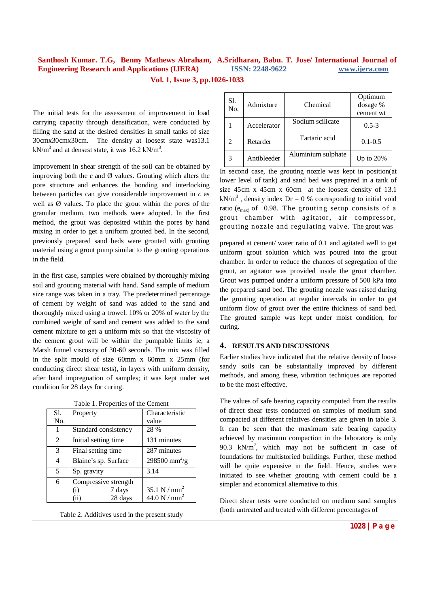The initial tests for the assessment of improvement in load carrying capacity through densification, were conducted by filling the sand at the desired densities in small tanks of size 30cmx30cmx30cm. The density at loosest state was13.1  $kN/m<sup>3</sup>$  and at densest state, it was 16.2 kN/m<sup>3</sup>.

Improvement in shear strength of the soil can be obtained by improving both the  $c$  and  $\emptyset$  values. Grouting which alters the pore structure and enhances the bonding and interlocking between particles can give considerable improvement in *c* as well as  $\emptyset$  values. To place the grout within the pores of the granular medium, two methods were adopted. In the first method, the grout was deposited within the pores by hand mixing in order to get a uniform grouted bed. In the second, previously prepared sand beds were grouted with grouting material using a grout pump similar to the grouting operations in the field.

In the first case, samples were obtained by thoroughly mixing soil and grouting material with hand. Sand sample of medium size range was taken in a tray. The predetermined percentage of cement by weight of sand was added to the sand and thoroughly mixed using a trowel. 10% or 20% of water by the combined weight of sand and cement was added to the sand cement mixture to get a uniform mix so that the viscosity of the cement grout will be within the pumpable limits ie, a Marsh funnel viscosity of 30-60 seconds. The mix was filled in the split mould of size 60mm x 60mm x 25mm (for conducting direct shear tests), in layers with uniform density, after hand impregnation of samples; it was kept under wet condition for 28 days for curing.

|  | Table 1. Properties of the Cement |  |  |
|--|-----------------------------------|--|--|
|--|-----------------------------------|--|--|

| S1.            | Property                                                      | Characteristic                   |  |  |
|----------------|---------------------------------------------------------------|----------------------------------|--|--|
| No.            |                                                               | value                            |  |  |
|                | Standard consistency                                          | 28 %                             |  |  |
| $\overline{2}$ | Initial setting time                                          | 131 minutes                      |  |  |
| 3              | Final setting time                                            | 287 minutes                      |  |  |
| 4              | Blaine's sp. Surface                                          | $298500 \text{ mm}^2/\text{g}$   |  |  |
| 5              | Sp. gravity                                                   | 3.14                             |  |  |
| 6              | Compressive strength<br>7 days<br>$\rm(i)$<br>28 days<br>(ii) | 35.1 N / $mm2$<br>44.0 N / $mm2$ |  |  |
|                |                                                               |                                  |  |  |

Table 2. Additives used in the present study

| Sl.<br>No. | Admixture   | Chemical           | Optimum<br>dosage %<br>cement wt |
|------------|-------------|--------------------|----------------------------------|
|            | Accelerator | Sodium scilicate   | $0.5 - 3$                        |
| 2          | Retarder    | Tartaric acid      | $0.1 - 0.5$                      |
|            | Antibleeder | Aluminium sulphate | Up to $20\%$                     |

In second case, the grouting nozzle was kept in position(at lower level of tank) and sand bed was prepared in a tank of size 45cm x 45cm x 60cm at the loosest density of 13.1  $kN/m<sup>3</sup>$ , density index Dr = 0 % corresponding to initial void ratio ( $e_{\text{max}}$ ) of 0.98. The grouting setup consists of a grout chamber with agitator, air compressor, grouting nozzle and regulating valv e. The grout was

prepared at cement/ water ratio of 0.1 and agitated well to get uniform grout solution which was poured into the grout chamber. In order to reduce the chances of segregation of the grout, an agitator was provided inside the grout chamber. Grout was pumped under a uniform pressure of 500 kPa into the prepared sand bed. The grouting nozzle was raised during the grouting operation at regular intervals in order to get uniform flow of grout over the entire thickness of sand bed. The grouted sample was kept under moist condition, for curing.

## **4. RESULTS AND DISCUSSIONS**

Earlier studies have indicated that the relative density of loose sandy soils can be substantially improved by different methods, and among these, vibration techniques are reported to be the most effective.

The values of safe bearing capacity computed from the results of direct shear tests conducted on samples of medium sand compacted at different relatives densities are given in table 3. It can be seen that the maximum safe bearing capacity achieved by maximum compaction in the laboratory is only 90.3  $kN/m^2$ , which may not be sufficient in case of foundations for multistoried buildings. Further, these method will be quite expensive in the field. Hence, studies were initiated to see whether grouting with cement could be a simpler and economical alternative to this.

Direct shear tests were conducted on medium sand samples (both untreated and treated with different percentages of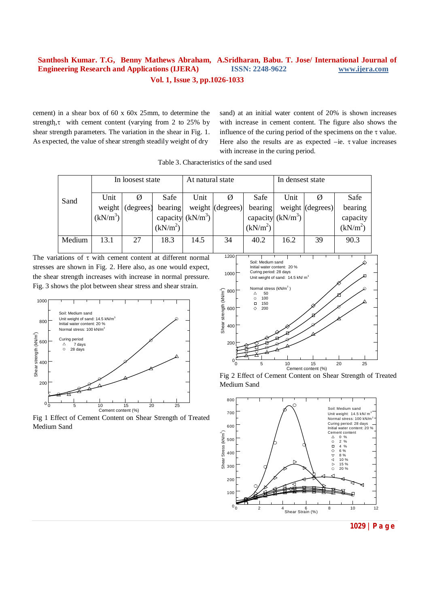cement) in a shear box of 60 x 60x 25mm, to determine the strength, $\tau$  with cement content (varying from 2 to 25% by shear strength parameters. The variation in the shear in Fig. 1. As expected, the value of shear strength steadily weight of dry

sand) at an initial water content of 20% is shown increases with increase in cement content. The figure also shows the influence of the curing period of the specimens on the  $\tau$  value. Here also the results are as expected  $-ie$ .  $\tau$  value increases with increase in the curing period.

| Sand   | In loosest state     |           | At natural state     |                     | In densest state         |                      |                     |                  |                      |
|--------|----------------------|-----------|----------------------|---------------------|--------------------------|----------------------|---------------------|------------------|----------------------|
|        | Unit                 |           | Safe                 | Unit                |                          | Safe                 | Unit                |                  | Safe                 |
|        | weight               | (degrees) | bearing              |                     | weight $\vert$ (degrees) | bearing              |                     | weight (degrees) | bearing              |
|        | (kN/m <sup>3</sup> ) |           |                      | capacity $(kN/m^3)$ |                          |                      | capacity $(kN/m^3)$ |                  | capacity             |
|        |                      |           | (kN/m <sup>2</sup> ) |                     |                          | (kN/m <sup>2</sup> ) |                     |                  | (kN/m <sup>2</sup> ) |
| Medium | 13.1                 | 27        | 18.3                 | 14.5                | 34                       | 40.2                 | 16.2                | 39               | 90.3                 |
|        |                      |           |                      |                     |                          |                      |                     |                  |                      |

Table 3. Characteristics of the sand used

The variations of  $\tau$  with cement content at different normal stresses are shown in Fig. 2. Here also, as one would expect, the shear strength increases with increase in normal pressure. Fig. 3 shows the plot between shear stress and shear strain.



Fig 1 Effect of Cement Content on Shear Strength of Treated Medium Sand







**<sup>1029</sup> | P a g e**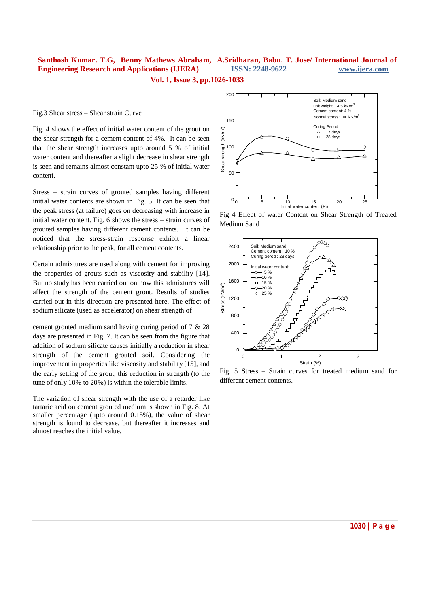Fig.3 Shear stress – Shear strain Curve

Fig. 4 shows the effect of initial water content of the grout on the shear strength for a cement content of 4%. It can be seen that the shear strength increases upto around 5 % of initial water content and thereafter a slight decrease in shear strength is seen and remains almost constant upto 25 % of initial water content.

Stress – strain curves of grouted samples having different initial water contents are shown in Fig. 5. It can be seen that the peak stress (at failure) goes on decreasing with increase in initial water content. Fig. 6 shows the stress – strain curves of grouted samples having different cement contents. It can be noticed that the stress-strain response exhibit a linear relationship prior to the peak, for all cement contents.

Certain admixtures are used along with cement for improving the properties of grouts such as viscosity and stability [14]. But no study has been carried out on how this admixtures will affect the strength of the cement grout. Results of studies carried out in this direction are presented here. The effect of sodium silicate (used as accelerator) on shear strength of

cement grouted medium sand having curing period of 7 & 28 days are presented in Fig. 7. It can be seen from the figure that addition of sodium silicate causes initially a reduction in shear strength of the cement grouted soil. Considering the improvement in properties like viscosity and stability [15], and the early setting of the grout, this reduction in strength (to the tune of only 10% to 20%) is within the tolerable limits.

The variation of shear strength with the use of a retarder like tartaric acid on cement grouted medium is shown in Fig. 8. At smaller percentage (upto around 0.15%), the value of shear strength is found to decrease, but thereafter it increases and almost reaches the initial value.



Fig 4 Effect of water Content on Shear Strength of Treated Medium Sand



Fig. 5 Stress – Strain curves for treated medium sand for different cement contents.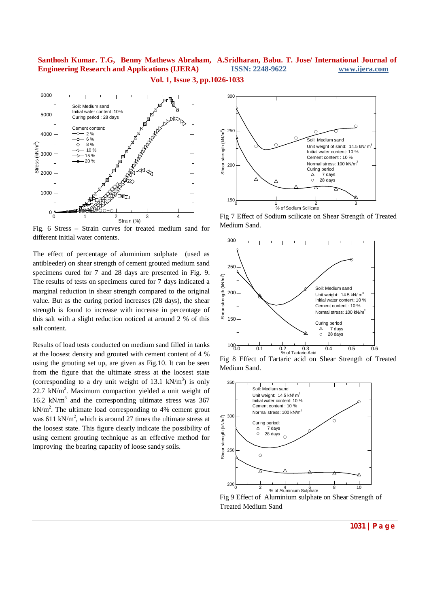

Fig. 6 Stress – Strain curves for treated medium sand for different initial water contents.

The effect of percentage of aluminium sulphate (used as antibleeder) on shear strength of cement grouted medium sand specimens cured for 7 and 28 days are presented in Fig. 9. The results of tests on specimens cured for 7 days indicated a marginal reduction in shear strength compared to the original value. But as the curing period increases (28 days), the shear strength is found to increase with increase in percentage of this salt with a slight reduction noticed at around 2 % of this salt content.

Results of load tests conducted on medium sand filled in tanks at the loosest density and grouted with cement content of 4 % using the grouting set up, are given as Fig.10. It can be seen from the figure that the ultimate stress at the loosest state (corresponding to a dry unit weight of 13.1  $kN/m<sup>3</sup>$ ) is only  $22.7$  kN/m<sup>2</sup>. Maximum compaction yielded a unit weight of 16.2 kN/m<sup>3</sup> and the corresponding ultimate stress was 367  $kN/m<sup>2</sup>$ . The ultimate load corresponding to 4% cement grout was 611 kN/m<sup>2</sup>, which is around 27 times the ultimate stress at the loosest state. This figure clearly indicate the possibility of using cement grouting technique as an effective method for improving the bearing capacity of loose sandy soils.



Fig 7 Effect of Sodium scilicate on Shear Strength of Treated Medium Sand.



Fig 8 Effect of Tartaric acid on Shear Strength of Treated Medium Sand.



Fig 9 Effect of Aluminium sulphate on Shear Strength of Treated Medium Sand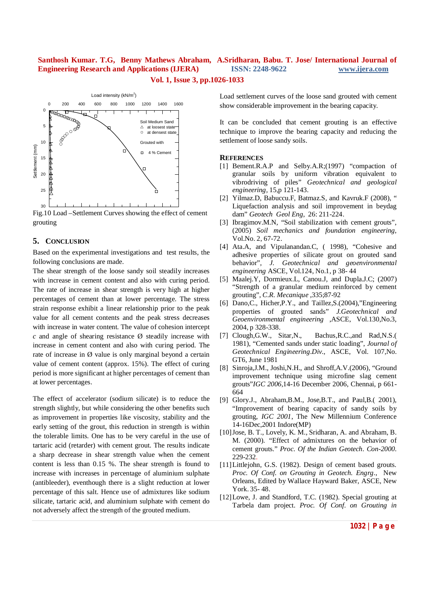**Vol. 1, Issue 3, pp.1026-1033**



Fig.10 Load –Settlement Curves showing the effect of cement grouting

## **5. CONCLUSION**

Based on the experimental investigations and test results, the following conclusions are made.

The shear strength of the loose sandy soil steadily increases with increase in cement content and also with curing period. The rate of increase in shear strength is very high at higher percentages of cement than at lower percentage. The stress strain response exhibit a linear relationship prior to the peak value for all cement contents and the peak stress decreases with increase in water content. The value of cohesion intercept  $c$  and angle of shearing resistance  $\varnothing$  steadily increase with increase in cement content and also with curing period. The rate of increase in Ø value is only marginal beyond a certain value of cement content (approx. 15%). The effect of curing period is more significant at higher percentages of cement than at lower percentages.

The effect of accelerator (sodium silicate) is to reduce the strength slightly, but while considering the other benefits such as improvement in properties like viscosity, stability and the early setting of the grout, this reduction in strength is within the tolerable limits. One has to be very careful in the use of tartaric acid (retarder) with cement grout. The results indicate a sharp decrease in shear strength value when the cement content is less than 0.15 %. The shear strength is found to increase with increases in percentage of aluminium sulphate (antibleeder), eventhough there is a slight reduction at lower percentage of this salt. Hence use of admixtures like sodium silicate, tartaric acid, and aluminium sulphate with cement do not adversely affect the strength of the grouted medium.

Load settlement curves of the loose sand grouted with cement show considerable improvement in the bearing capacity.

It can be concluded that cement grouting is an effective technique to improve the bearing capacity and reducing the settlement of loose sandy soils.

#### **REFERENCES**

- [1] Bement.R.A.P and Selby.A.R;(1997) "compaction of granular soils by uniform vibration equivalent to vibrodriving of piles" *Geotechnical and geological engineering,* 15,p 121-143.
- [2] Yilmaz.D, Babuccu.F, Batmaz.S, and Kavruk.F (2008), " Liquefaction analysis and soil improvement in beydag dam" *Geotech Geol Eng*, 26: 211-224.
- [3] Ibragimov.M.N, "Soil stabilization with cement grouts", (2005) *Soil mechanics and foundation engineering*, Vol.No. 2, 67-72.
- [4] Ata.A, and Vipulanandan.C, (1998), "Cohesive and adhesive properties of silicate grout on grouted sand behavior", *J. Geotechnical and geoenvironmental engineering* ASCE, Vol.124, No.1, p 38- 44
- [5] Maalej.Y, Dormieux.L, Canou.J, and Dupla.J.C; (2007) "Strength of a granular medium reinforced by cement grouting", *C.R. Mecanique* ,335;87-92
- [6] Dano, C., Hicher, P.Y., and Taillez, S. (2004), "Engineering properties of grouted sands" *J.Geotechnical and Geoenvironmental engineering* ,ASCE, Vol.130,No.3, 2004, p 328-338.
- [7] Clough,G.W., Sitar,N., Bachus,R.C.,and Rad,N.S.( 1981), "Cemented sands under static loading", *Journal of Geotechnical Engineering.Div*., ASCE, Vol. 107,No. GT6, June 1981
- [8] Sinroja,J.M., Joshi,N.H., and Shroff,A.V.(2006), "Ground improvement technique using microfine slag cement grouts"*IGC 2006*,14-16 December 2006, Chennai, p 661- 664
- [9] Glory.J., Abraham,B.M., Jose,B.T., and Paul,B.( 2001), "Improvement of bearing capacity of sandy soils by grouting, *IGC 2001*, The New Millennium Conference 14-16Dec,2001 Indore(MP)
- [10]Jose, B. T., Lovely, K. M., Sridharan, A. and Abraham, B. M. (2000). "Effect of admixtures on the behavior of cement grouts." *Proc. Of the Indian Geotech. Con-2000.* 229-232.
- [11]Littlejohn, G.S. (1982). Design of cement based grouts. *Proc. Of Conf. on Grouting in Geotech. Engrg.*, New Orleans, Edited by Wallace Hayward Baker, ASCE, New York. 35- 48.
- [12]Lowe, J. and Standford, T.C. (1982). Special grouting at Tarbela dam project. *Proc. Of Conf. on Grouting in*